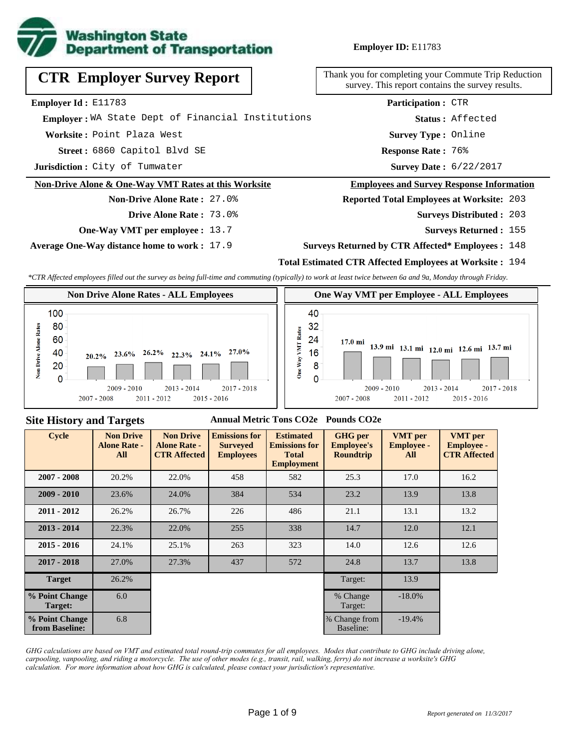

**Employer ID:** E11783

|  | <b>CTR Employer Survey Report</b> |  |  |
|--|-----------------------------------|--|--|
|--|-----------------------------------|--|--|

**Employer Id :** E11783

 **Employer :** WA State Dept of Financial Institutions

**Worksite :** Point Plaza West

6860 Capitol Blvd SE **Response Rate : Street :**

**Jurisdiction :** City of Tumwater

#### **Non-Drive Alone & One-Way VMT Rates at this Worksite**

## **Non-Drive Alone Rate :** 27.0% **Drive Alone Rate :** 73.0%

**One-Way VMT per employee :** 13.7

**Average One-Way distance home to work :** 17.9

Thank you for completing your Commute Trip Reduction survey. This report contains the survey results.

> Response Rate: 76% **Survey Type :** Online **Status :** Affected **Participation :** CTR

Survey Date: 6/22/2017

#### **Employees and Survey Response Information**

**Reported Total Employees at Worksite:** 203

- 203 **Surveys Distributed :**
	- **Surveys Returned :** 155

#### **Surveys Returned by CTR Affected\* Employees :** 148

## **Total Estimated CTR Affected Employees at Worksite :** 194

*\*CTR Affected employees filled out the survey as being full-time and commuting (typically) to work at least twice between 6a and 9a, Monday through Friday.*



#### **Site History and Targets**

#### **Annual Metric Tons CO2e Pounds CO2e**

| <b>Cycle</b>                     | <b>Non Drive</b><br><b>Alone Rate -</b><br>All | <b>Non Drive</b><br><b>Alone Rate -</b><br><b>CTR Affected</b> | <b>Emissions for</b><br><b>Surveyed</b><br><b>Employees</b> | <b>Estimated</b><br><b>Emissions for</b><br><b>Total</b><br><b>Employment</b> | <b>GHG</b> per<br><b>Employee's</b><br><b>Roundtrip</b> | <b>VMT</b> per<br><b>Employee -</b><br>All | <b>VMT</b> per<br><b>Employee -</b><br><b>CTR Affected</b> |
|----------------------------------|------------------------------------------------|----------------------------------------------------------------|-------------------------------------------------------------|-------------------------------------------------------------------------------|---------------------------------------------------------|--------------------------------------------|------------------------------------------------------------|
| $2007 - 2008$                    | 20.2%                                          | 22.0%                                                          | 458                                                         | 582                                                                           | 25.3                                                    | 17.0                                       | 16.2                                                       |
| $2009 - 2010$                    | 23.6%                                          | 24.0%                                                          | 384                                                         | 534                                                                           | 23.2                                                    | 13.9                                       | 13.8                                                       |
| $2011 - 2012$                    | 26.2%                                          | 26.7%                                                          | 226                                                         | 486                                                                           | 21.1                                                    | 13.1                                       | 13.2                                                       |
| $2013 - 2014$                    | 22.3%                                          | 22.0%                                                          | 255                                                         | 338                                                                           | 14.7                                                    | 12.0                                       | 12.1                                                       |
| $2015 - 2016$                    | 24.1%                                          | 25.1%                                                          | 263                                                         | 323                                                                           | 14.0                                                    | 12.6                                       | 12.6                                                       |
| $2017 - 2018$                    | 27.0%                                          | 27.3%                                                          | 437                                                         | 572                                                                           | 24.8                                                    | 13.7                                       | 13.8                                                       |
| <b>Target</b>                    | 26.2%                                          |                                                                |                                                             |                                                                               | Target:                                                 | 13.9                                       |                                                            |
| % Point Change<br>Target:        | 6.0                                            |                                                                |                                                             |                                                                               | % Change<br>Target:                                     | $-18.0%$                                   |                                                            |
| % Point Change<br>from Baseline: | 6.8                                            |                                                                |                                                             |                                                                               | % Change from<br>Baseline:                              | $-19.4%$                                   |                                                            |

*GHG calculations are based on VMT and estimated total round-trip commutes for all employees. Modes that contribute to GHG include driving alone, carpooling, vanpooling, and riding a motorcycle. The use of other modes (e.g., transit, rail, walking, ferry) do not increase a worksite's GHG calculation. For more information about how GHG is calculated, please contact your jurisdiction's representative.*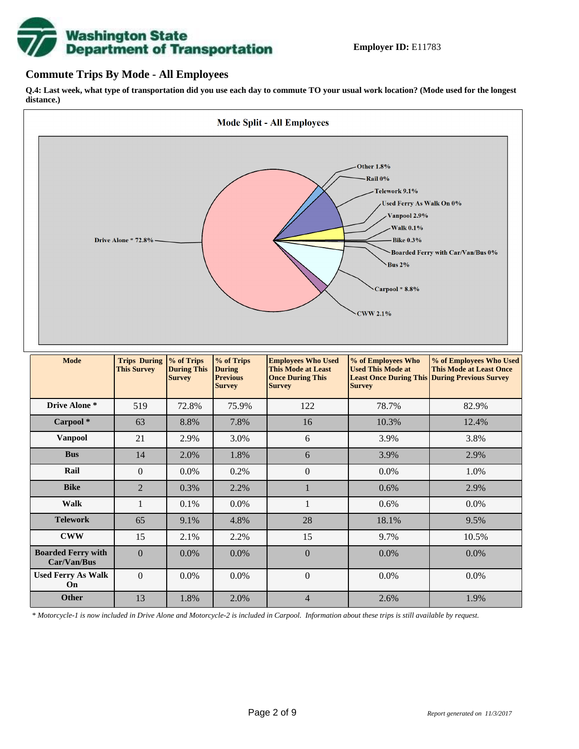# **Washington State<br>Department of Transportation**

## **Commute Trips By Mode - All Employees**

**Q.4: Last week, what type of transportation did you use each day to commute TO your usual work location? (Mode used for the longest distance.)**



*\* Motorcycle-1 is now included in Drive Alone and Motorcycle-2 is included in Carpool. Information about these trips is still available by request.*

**Other** 13 1.8% 2.0% 4 2.6% 1.9%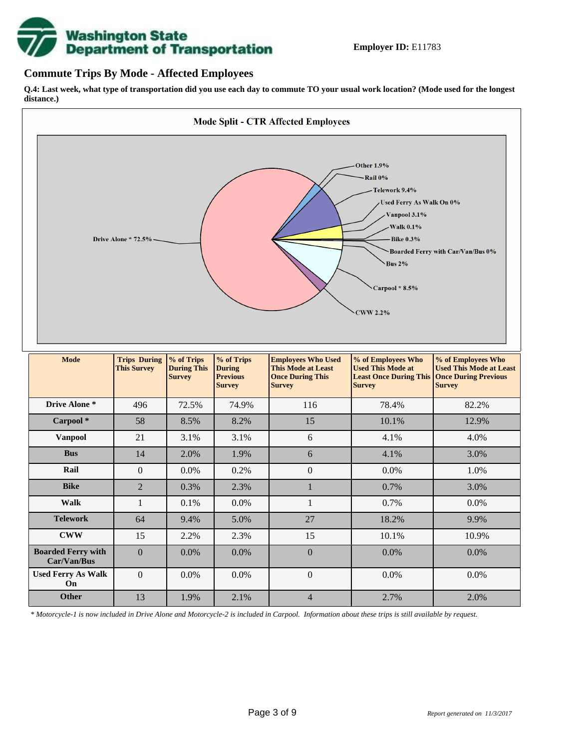

## **Commute Trips By Mode - Affected Employees**

**Q.4: Last week, what type of transportation did you use each day to commute TO your usual work location? (Mode used for the longest distance.)**



*\* Motorcycle-1 is now included in Drive Alone and Motorcycle-2 is included in Carpool. Information about these trips is still available by request.*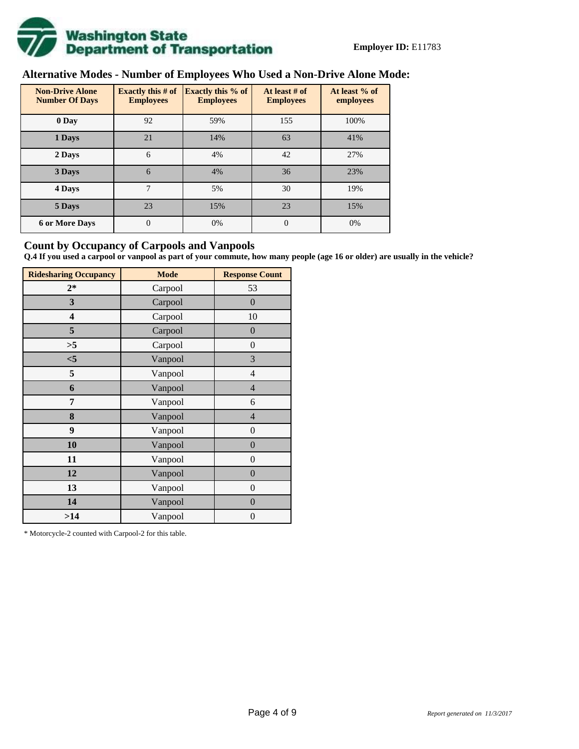

# **Alternative Modes - Number of Employees Who Used a Non-Drive Alone Mode:**

| <b>Non-Drive Alone</b><br><b>Number Of Days</b> | Exactly this $#$ of<br><b>Employees</b> | Exactly this % of<br><b>Employees</b> | At least # of<br><b>Employees</b> | At least % of<br>employees |
|-------------------------------------------------|-----------------------------------------|---------------------------------------|-----------------------------------|----------------------------|
| 0 Day                                           | 92                                      | 59%                                   | 155                               | 100%                       |
| 1 Days                                          | 21                                      | 14%                                   | 63                                | 41%                        |
| 2 Days                                          | 6                                       | 4%                                    | 42                                | 27%                        |
| 3 Days                                          | 6                                       | 4%                                    | 36                                | 23%                        |
| 4 Days                                          | 7                                       | 5%                                    | 30                                | 19%                        |
| 5 Days                                          | 23                                      | 15%                                   | 23                                | 15%                        |
| <b>6 or More Days</b>                           | $\overline{0}$                          | 0%                                    | $\theta$                          | 0%                         |

## **Count by Occupancy of Carpools and Vanpools**

**Q.4 If you used a carpool or vanpool as part of your commute, how many people (age 16 or older) are usually in the vehicle?**

| <b>Ridesharing Occupancy</b> | <b>Mode</b> | <b>Response Count</b> |
|------------------------------|-------------|-----------------------|
| $2*$                         | Carpool     | 53                    |
| 3                            | Carpool     | $\boldsymbol{0}$      |
| 4                            | Carpool     | 10                    |
| 5                            | Carpool     | $\boldsymbol{0}$      |
| >5                           | Carpool     | $\boldsymbol{0}$      |
| $<$ 5                        | Vanpool     | 3                     |
| 5                            | Vanpool     | $\overline{4}$        |
| 6                            | Vanpool     | $\overline{4}$        |
| 7                            | Vanpool     | 6                     |
| 8                            | Vanpool     | $\overline{4}$        |
| 9                            | Vanpool     | $\overline{0}$        |
| 10                           | Vanpool     | $\overline{0}$        |
| 11                           | Vanpool     | $\boldsymbol{0}$      |
| 12                           | Vanpool     | $\boldsymbol{0}$      |
| 13                           | Vanpool     | $\boldsymbol{0}$      |
| 14                           | Vanpool     | $\overline{0}$        |
| >14                          | Vanpool     | $\boldsymbol{0}$      |

\* Motorcycle-2 counted with Carpool-2 for this table.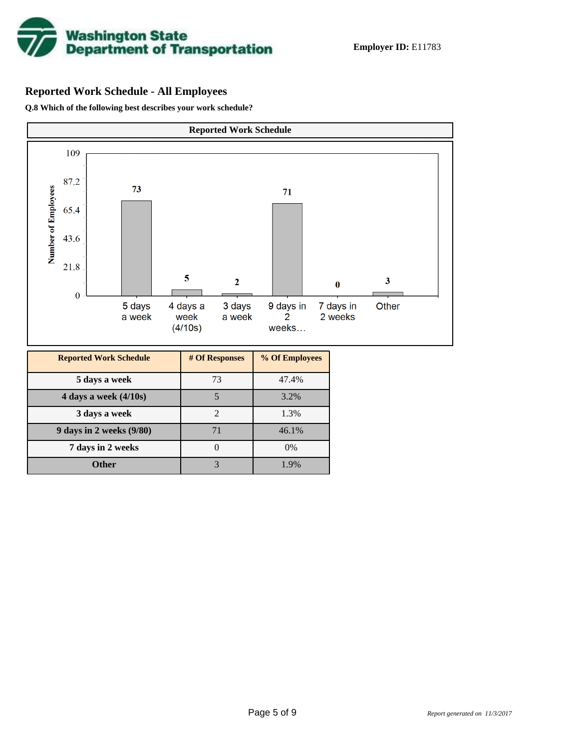

# **Reported Work Schedule - All Employees**

**Q.8 Which of the following best describes your work schedule?**

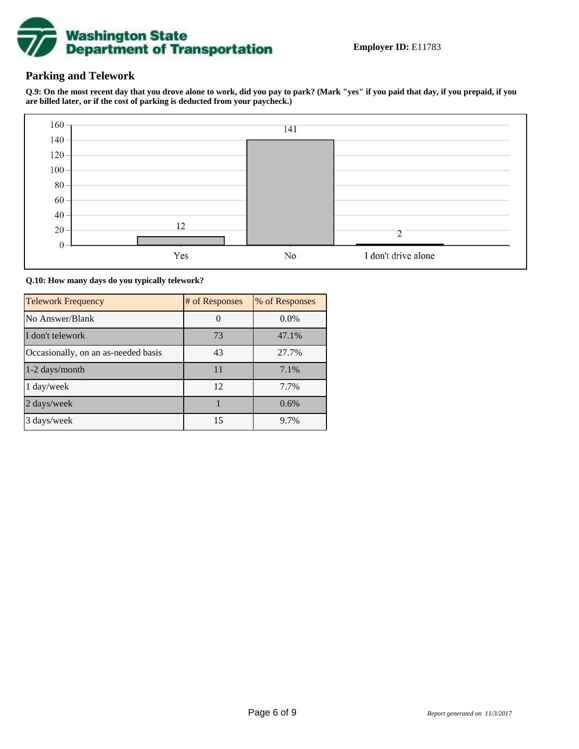

# **Parking and Telework**

**Q.9: On the most recent day that you drove alone to work, did you pay to park? (Mark "yes" if you paid that day, if you prepaid, if you are billed later, or if the cost of parking is deducted from your paycheck.)**



**Q.10: How many days do you typically telework?**

| <b>Telework Frequency</b>           | # of Responses | % of Responses |
|-------------------------------------|----------------|----------------|
| No Answer/Blank                     |                | $0.0\%$        |
| I don't telework                    | 73             | 47.1%          |
| Occasionally, on an as-needed basis | 43             | 27.7%          |
| 1-2 days/month                      | 11             | 7.1%           |
| 1 day/week                          | 12             | 7.7%           |
| 2 days/week                         |                | 0.6%           |
| 3 days/week                         | 15             | 9.7%           |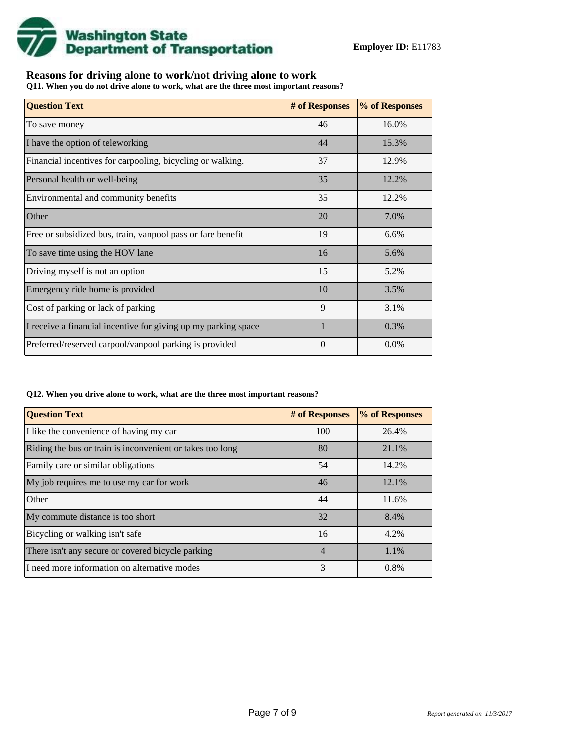

# **Reasons for driving alone to work/not driving alone to work**

**Q11. When you do not drive alone to work, what are the three most important reasons?**

| <b>Question Text</b>                                           | # of Responses | % of Responses |
|----------------------------------------------------------------|----------------|----------------|
| To save money                                                  | 46             | 16.0%          |
| I have the option of teleworking                               | 44             | 15.3%          |
| Financial incentives for carpooling, bicycling or walking.     | 37             | 12.9%          |
| Personal health or well-being                                  | 35             | 12.2%          |
| Environmental and community benefits                           | 35             | 12.2%          |
| Other                                                          | 20             | 7.0%           |
| Free or subsidized bus, train, vanpool pass or fare benefit    | 19             | 6.6%           |
| To save time using the HOV lane                                | 16             | 5.6%           |
| Driving myself is not an option                                | 15             | 5.2%           |
| Emergency ride home is provided                                | 10             | 3.5%           |
| Cost of parking or lack of parking                             | 9              | 3.1%           |
| I receive a financial incentive for giving up my parking space | $\mathbf{1}$   | 0.3%           |
| Preferred/reserved carpool/vanpool parking is provided         | $\Omega$       | 0.0%           |

#### **Q12. When you drive alone to work, what are the three most important reasons?**

| <b>Question Text</b>                                      | # of Responses | % of Responses |
|-----------------------------------------------------------|----------------|----------------|
| I like the convenience of having my car                   | 100            | 26.4%          |
| Riding the bus or train is inconvenient or takes too long | 80             | 21.1%          |
| Family care or similar obligations                        | 54             | 14.2%          |
| My job requires me to use my car for work                 | 46             | 12.1%          |
| Other                                                     | 44             | 11.6%          |
| My commute distance is too short                          | 32             | 8.4%           |
| Bicycling or walking isn't safe                           | 16             | 4.2%           |
| There isn't any secure or covered bicycle parking         | $\overline{4}$ | 1.1%           |
| I need more information on alternative modes              | 3              | 0.8%           |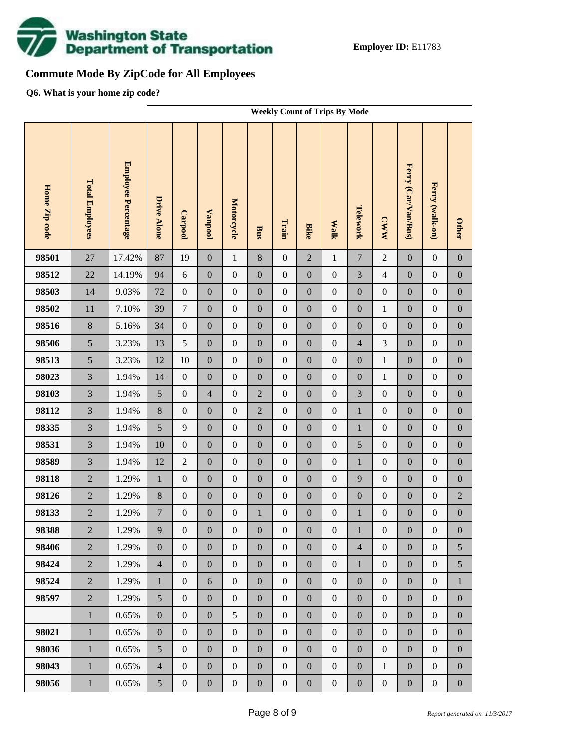

# **Commute Mode By ZipCode for All Employees**

**Q6. What is your home zip code?**

|               |                        |                     | <b>Weekly Count of Trips By Mode</b> |                  |                  |                  |                  |                  |                  |                  |                  |                  |                     |                  |                  |
|---------------|------------------------|---------------------|--------------------------------------|------------------|------------------|------------------|------------------|------------------|------------------|------------------|------------------|------------------|---------------------|------------------|------------------|
| Home Zip code | <b>Total Employees</b> | Employee Percentage | <b>Drive Alone</b>                   | Carpool          | <b>Vanpool</b>   | Motorcycle       | <b>Bus</b>       | Train            | <b>Bike</b>      | <b>Walk</b>      | Telework         | <b>CWW</b>       | Ferry (Car/Van/Bus) | Ferry (walk-on)  | <b>Other</b>     |
| 98501         | 27                     | 17.42%              | 87                                   | 19               | $\boldsymbol{0}$ | $\mathbf{1}$     | 8                | $\boldsymbol{0}$ | $\overline{2}$   | $\mathbf{1}$     | $\overline{7}$   | $\overline{2}$   | $\mathbf{0}$        | $\boldsymbol{0}$ | $\boldsymbol{0}$ |
| 98512         | 22                     | 14.19%              | 94                                   | $6\,$            | $\boldsymbol{0}$ | $\boldsymbol{0}$ | $\boldsymbol{0}$ | $\boldsymbol{0}$ | $\overline{0}$   | $\boldsymbol{0}$ | 3                | $\overline{4}$   | $\boldsymbol{0}$    | $\boldsymbol{0}$ | $\boldsymbol{0}$ |
| 98503         | 14                     | 9.03%               | 72                                   | $\boldsymbol{0}$ | $\boldsymbol{0}$ | $\boldsymbol{0}$ | $\boldsymbol{0}$ | $\boldsymbol{0}$ | $\boldsymbol{0}$ | $\boldsymbol{0}$ | $\boldsymbol{0}$ | $\boldsymbol{0}$ | $\boldsymbol{0}$    | $\boldsymbol{0}$ | $\boldsymbol{0}$ |
| 98502         | $11\,$                 | 7.10%               | 39                                   | $\tau$           | $\boldsymbol{0}$ | $\boldsymbol{0}$ | $\boldsymbol{0}$ | $\boldsymbol{0}$ | $\overline{0}$   | $\boldsymbol{0}$ | $\boldsymbol{0}$ | $\mathbf{1}$     | $\boldsymbol{0}$    | $\boldsymbol{0}$ | $\boldsymbol{0}$ |
| 98516         | $8\,$                  | 5.16%               | 34                                   | $\boldsymbol{0}$ | $\boldsymbol{0}$ | $\boldsymbol{0}$ | $\boldsymbol{0}$ | $\boldsymbol{0}$ | $\boldsymbol{0}$ | $\boldsymbol{0}$ | $\boldsymbol{0}$ | $\boldsymbol{0}$ | $\boldsymbol{0}$    | $\boldsymbol{0}$ | $\boldsymbol{0}$ |
| 98506         | 5                      | 3.23%               | 13                                   | 5                | $\boldsymbol{0}$ | $\boldsymbol{0}$ | $\boldsymbol{0}$ | $\boldsymbol{0}$ | $\overline{0}$   | $\boldsymbol{0}$ | $\overline{4}$   | 3                | $\boldsymbol{0}$    | $\boldsymbol{0}$ | $\boldsymbol{0}$ |
| 98513         | 5                      | 3.23%               | 12                                   | 10               | $\boldsymbol{0}$ | $\boldsymbol{0}$ | $\boldsymbol{0}$ | $\boldsymbol{0}$ | $\boldsymbol{0}$ | $\boldsymbol{0}$ | $\boldsymbol{0}$ | $\,1$            | $\boldsymbol{0}$    | $\boldsymbol{0}$ | $\boldsymbol{0}$ |
| 98023         | $\overline{3}$         | 1.94%               | 14                                   | $\boldsymbol{0}$ | $\boldsymbol{0}$ | $\boldsymbol{0}$ | $\boldsymbol{0}$ | $\boldsymbol{0}$ | $\overline{0}$   | $\boldsymbol{0}$ | $\boldsymbol{0}$ | $\mathbf{1}$     | $\boldsymbol{0}$    | $\boldsymbol{0}$ | $\boldsymbol{0}$ |
| 98103         | $\overline{3}$         | 1.94%               | 5                                    | $\boldsymbol{0}$ | $\overline{4}$   | $\boldsymbol{0}$ | $\overline{2}$   | $\boldsymbol{0}$ | $\boldsymbol{0}$ | $\boldsymbol{0}$ | 3                | $\boldsymbol{0}$ | $\boldsymbol{0}$    | $\boldsymbol{0}$ | $\boldsymbol{0}$ |
| 98112         | $\overline{3}$         | 1.94%               | $8\,$                                | $\boldsymbol{0}$ | $\boldsymbol{0}$ | $\boldsymbol{0}$ | $\overline{2}$   | $\boldsymbol{0}$ | $\overline{0}$   | $\boldsymbol{0}$ | $\mathbf{1}$     | $\boldsymbol{0}$ | $\boldsymbol{0}$    | $\boldsymbol{0}$ | $\boldsymbol{0}$ |
| 98335         | $\overline{3}$         | 1.94%               | 5                                    | 9                | $\boldsymbol{0}$ | $\boldsymbol{0}$ | $\boldsymbol{0}$ | $\boldsymbol{0}$ | $\boldsymbol{0}$ | $\boldsymbol{0}$ | $\mathbf{1}$     | $\boldsymbol{0}$ | $\boldsymbol{0}$    | $\boldsymbol{0}$ | $\boldsymbol{0}$ |
| 98531         | $\overline{3}$         | 1.94%               | 10                                   | $\boldsymbol{0}$ | $\boldsymbol{0}$ | $\boldsymbol{0}$ | $\boldsymbol{0}$ | $\boldsymbol{0}$ | $\overline{0}$   | $\boldsymbol{0}$ | 5                | $\boldsymbol{0}$ | $\boldsymbol{0}$    | $\boldsymbol{0}$ | $\boldsymbol{0}$ |
| 98589         | $\overline{3}$         | 1.94%               | 12                                   | $\boldsymbol{2}$ | $\boldsymbol{0}$ | $\boldsymbol{0}$ | $\boldsymbol{0}$ | $\boldsymbol{0}$ | $\boldsymbol{0}$ | $\boldsymbol{0}$ | $\mathbf{1}$     | $\boldsymbol{0}$ | $\boldsymbol{0}$    | $\boldsymbol{0}$ | $\boldsymbol{0}$ |
| 98118         | $\overline{2}$         | 1.29%               | $\,1\,$                              | $\boldsymbol{0}$ | $\boldsymbol{0}$ | $\boldsymbol{0}$ | $\boldsymbol{0}$ | $\boldsymbol{0}$ | $\overline{0}$   | $\boldsymbol{0}$ | 9                | $\boldsymbol{0}$ | $\boldsymbol{0}$    | $\boldsymbol{0}$ | $\boldsymbol{0}$ |
| 98126         | $\overline{2}$         | 1.29%               | $8\,$                                | $\boldsymbol{0}$ | $\boldsymbol{0}$ | $\boldsymbol{0}$ | $\boldsymbol{0}$ | $\boldsymbol{0}$ | $\boldsymbol{0}$ | $\boldsymbol{0}$ | $\boldsymbol{0}$ | $\boldsymbol{0}$ | $\boldsymbol{0}$    | $\boldsymbol{0}$ | $\sqrt{2}$       |
| 98133         | $\overline{2}$         | 1.29%               | $\boldsymbol{7}$                     | $\boldsymbol{0}$ | $\boldsymbol{0}$ | $\boldsymbol{0}$ | $\mathbf{1}$     | $\boldsymbol{0}$ | $\mathbf{0}$     | $\boldsymbol{0}$ | $\mathbf{1}$     | $\boldsymbol{0}$ | $\boldsymbol{0}$    | $\boldsymbol{0}$ | $\boldsymbol{0}$ |
| 98388         | $\overline{2}$         | 1.29%               | 9                                    | $\boldsymbol{0}$ | $\boldsymbol{0}$ | $\boldsymbol{0}$ | $\boldsymbol{0}$ | $\boldsymbol{0}$ | $\boldsymbol{0}$ | $\boldsymbol{0}$ | $\mathbf{1}$     | $\boldsymbol{0}$ | $\boldsymbol{0}$    | $\boldsymbol{0}$ | $\boldsymbol{0}$ |
| 98406         | $\overline{2}$         | 1.29%               | $\boldsymbol{0}$                     | $\overline{0}$   | $\boldsymbol{0}$ | $\boldsymbol{0}$ | $\overline{0}$   | $\boldsymbol{0}$ | $\overline{0}$   | $\boldsymbol{0}$ | $\overline{4}$   | $\boldsymbol{0}$ | $\boldsymbol{0}$    | $\boldsymbol{0}$ | 5                |
| 98424         | $\overline{2}$         | 1.29%               | $\overline{4}$                       | $\boldsymbol{0}$ | $\boldsymbol{0}$ | $\boldsymbol{0}$ | $\boldsymbol{0}$ | $\boldsymbol{0}$ | $\overline{0}$   | $\boldsymbol{0}$ | $\mathbf{1}$     | $\boldsymbol{0}$ | $\boldsymbol{0}$    | $\boldsymbol{0}$ | 5                |
| 98524         | $\overline{2}$         | 1.29%               | $\mathbf{1}$                         | $\boldsymbol{0}$ | 6                | $\boldsymbol{0}$ | $\boldsymbol{0}$ | $\boldsymbol{0}$ | $\boldsymbol{0}$ | $\boldsymbol{0}$ | $\boldsymbol{0}$ | $\boldsymbol{0}$ | $\boldsymbol{0}$    | $\boldsymbol{0}$ | $\mathbf{1}$     |
| 98597         | $\overline{2}$         | 1.29%               | 5                                    | $\boldsymbol{0}$ | $\boldsymbol{0}$ | $\boldsymbol{0}$ | $\boldsymbol{0}$ | $\boldsymbol{0}$ | $\overline{0}$   | $\boldsymbol{0}$ | $\boldsymbol{0}$ | $\boldsymbol{0}$ | $\boldsymbol{0}$    | $\boldsymbol{0}$ | $\boldsymbol{0}$ |
|               | $\mathbf{1}$           | 0.65%               | $\boldsymbol{0}$                     | $\boldsymbol{0}$ | $\boldsymbol{0}$ | 5                | $\boldsymbol{0}$ | $\boldsymbol{0}$ | $\boldsymbol{0}$ | $\boldsymbol{0}$ | $\boldsymbol{0}$ | $\boldsymbol{0}$ | $\boldsymbol{0}$    | $\boldsymbol{0}$ | $\boldsymbol{0}$ |
| 98021         | $\mathbf{1}$           | 0.65%               | $\boldsymbol{0}$                     | $\boldsymbol{0}$ | $\boldsymbol{0}$ | $\boldsymbol{0}$ | $\boldsymbol{0}$ | $\boldsymbol{0}$ | $\overline{0}$   | $\boldsymbol{0}$ | $\boldsymbol{0}$ | $\boldsymbol{0}$ | $\boldsymbol{0}$    | $\boldsymbol{0}$ | $\boldsymbol{0}$ |
| 98036         | $1\,$                  | 0.65%               | 5                                    | $\boldsymbol{0}$ | $\boldsymbol{0}$ | $\boldsymbol{0}$ | $\boldsymbol{0}$ | $\boldsymbol{0}$ | $\boldsymbol{0}$ | $\boldsymbol{0}$ | $\boldsymbol{0}$ | $\boldsymbol{0}$ | $\boldsymbol{0}$    | $\boldsymbol{0}$ | $\boldsymbol{0}$ |
| 98043         | $\mathbf{1}$           | 0.65%               | $\overline{4}$                       | $\boldsymbol{0}$ | $\boldsymbol{0}$ | $\boldsymbol{0}$ | $\boldsymbol{0}$ | $\boldsymbol{0}$ | $\overline{0}$   | $\boldsymbol{0}$ | $\boldsymbol{0}$ | $\,1$            | $\boldsymbol{0}$    | $\boldsymbol{0}$ | $\boldsymbol{0}$ |
| 98056         | $1\,$                  | 0.65%               | 5                                    | $\boldsymbol{0}$ | $\boldsymbol{0}$ | $\boldsymbol{0}$ | $\boldsymbol{0}$ | $\boldsymbol{0}$ | $\boldsymbol{0}$ | $\boldsymbol{0}$ | $\boldsymbol{0}$ | $\boldsymbol{0}$ | $\boldsymbol{0}$    | $\boldsymbol{0}$ | $\boldsymbol{0}$ |